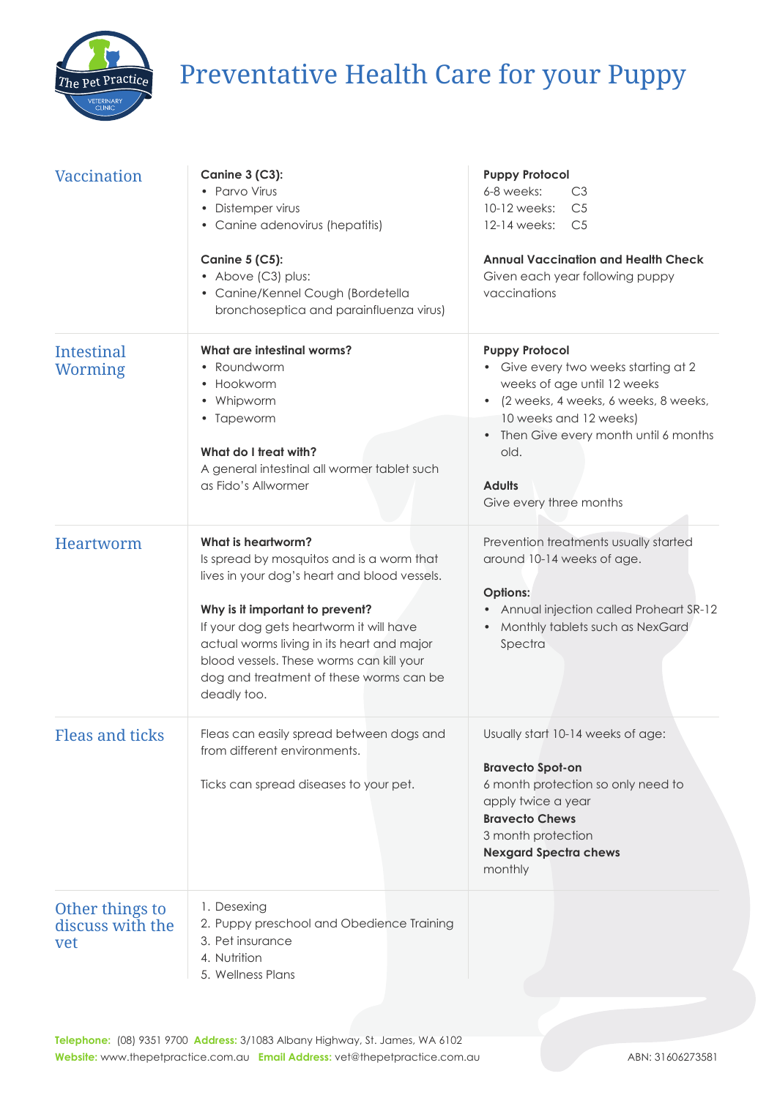

# Preventative Health Care for your Puppy

| <b>Vaccination</b>                                | <b>Canine 3 (C3):</b><br>• Parvo Virus<br>Distemper virus<br>• Canine adenovirus (hepatitis)<br>Canine 5 (C5):<br>• Above (C3) plus:<br>• Canine/Kennel Cough (Bordetella<br>bronchoseptica and parainfluenza virus)                                                                                                                              | <b>Puppy Protocol</b><br>6-8 weeks:<br>C <sub>3</sub><br>10-12 weeks:<br>C <sub>5</sub><br>12-14 weeks:<br>C <sub>5</sub><br><b>Annual Vaccination and Health Check</b><br>Given each year following puppy<br>vaccinations                                              |
|---------------------------------------------------|---------------------------------------------------------------------------------------------------------------------------------------------------------------------------------------------------------------------------------------------------------------------------------------------------------------------------------------------------|-------------------------------------------------------------------------------------------------------------------------------------------------------------------------------------------------------------------------------------------------------------------------|
| <b>Intestinal</b><br>Worming                      | What are intestinal worms?<br>• Roundworm<br>• Hookworm<br>• Whipworm<br>• Tapeworm<br>What do I treat with?<br>A general intestinal all wormer tablet such<br>as Fido's Allwormer                                                                                                                                                                | <b>Puppy Protocol</b><br>• Give every two weeks starting at 2<br>weeks of age until 12 weeks<br>(2 weeks, 4 weeks, 6 weeks, 8 weeks,<br>10 weeks and 12 weeks)<br>Then Give every month until 6 months<br>$\bullet$<br>old.<br><b>Adults</b><br>Give every three months |
| <b>Heartworm</b>                                  | What is heartworm?<br>Is spread by mosquitos and is a worm that<br>lives in your dog's heart and blood vessels.<br>Why is it important to prevent?<br>If your dog gets heartworm it will have<br>actual worms living in its heart and major<br>blood vessels. These worms can kill your<br>dog and treatment of these worms can be<br>deadly too. | Prevention treatments usually started<br>around 10-14 weeks of age.<br><b>Options:</b><br>Annual injection called Proheart SR-12<br>Monthly tablets such as NexGard<br>Spectra                                                                                          |
| <b>Fleas and ticks</b>                            | Fleas can easily spread between dogs and<br>from different environments.<br>Ticks can spread diseases to your pet.                                                                                                                                                                                                                                | Usually start 10-14 weeks of age:<br><b>Bravecto Spot-on</b><br>6 month protection so only need to<br>apply twice a year<br><b>Bravecto Chews</b><br>3 month protection<br><b>Nexgard Spectra chews</b><br>monthly                                                      |
| Other things to<br>discuss with the<br><b>vet</b> | 1. Desexing<br>2. Puppy preschool and Obedience Training<br>3. Pet insurance<br>4. Nutrition<br>5. Wellness Plans                                                                                                                                                                                                                                 |                                                                                                                                                                                                                                                                         |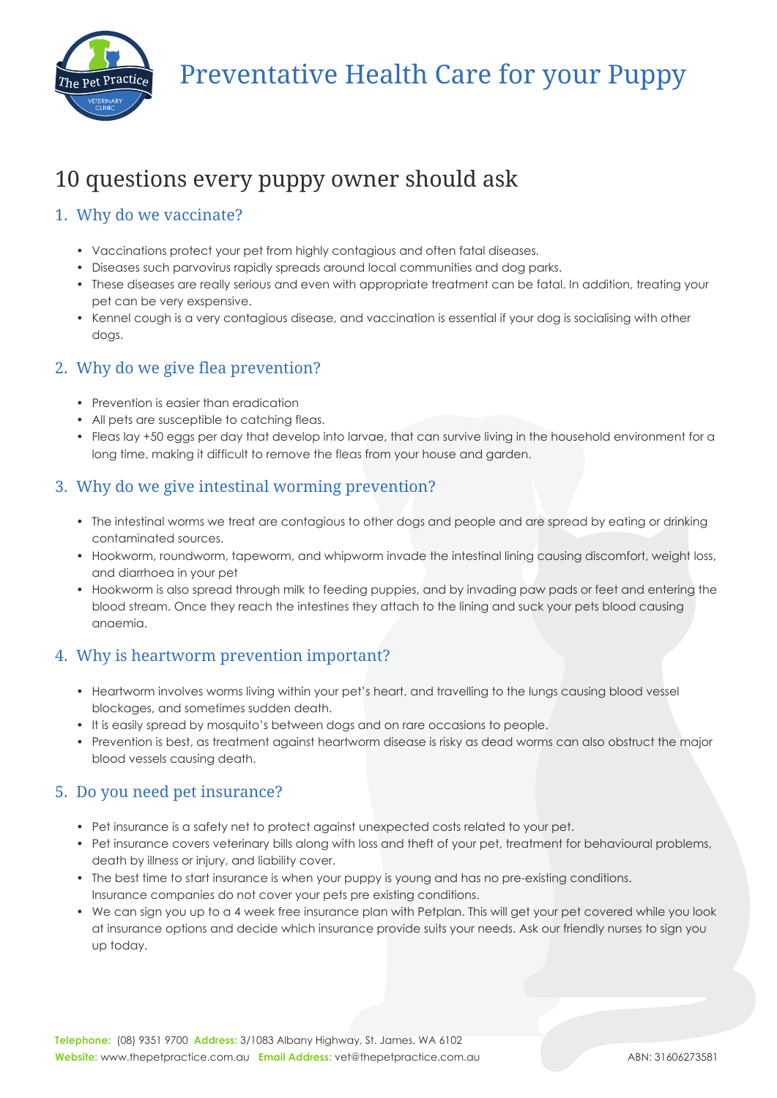Preventative Health Care for your Puppy



## 10 questions every puppy owner should ask

## 1. Why do we vaccinate?

- Vaccinations protect your pet from highly contagious and often fatal diseases.
- Diseases such parvovirus rapidly spreads around local communities and dog parks.
- These diseases are really serious and even with appropriate treatment can be fatal. In addition, treating your pet can be very exspensive.
- Kennel cough is a very contagious disease, and vaccination is essential if your dog is socialising with other dogs.

## 2. Why do we give flea prevention?

- Prevention is easier than eradication
- All pets are susceptible to catching fleas.
- Fleas lay +50 eggs per day that develop into larvae, that can survive living in the household environment for a long time, making it difficult to remove the fleas from your house and garden.

## 3. Why do we give intestinal worming prevention?

- The intestinal worms we treat are contagious to other dogs and people and are spread by eating or drinking contaminated sources.
- Hookworm, roundworm, tapeworm, and whipworm invade the intestinal lining causing discomfort, weight loss, and diarrhoea in your pet
- Hookworm is also spread through milk to feeding puppies, and by invading paw pads or feet and entering the blood stream. Once they reach the intestines they attach to the lining and suck your pets blood causing anaemia.

## 4. Why is heartworm prevention important?

- Heartworm involves worms living within your pet's heart, and travelling to the lungs causing blood vessel blockages, and sometimes sudden death.
- It is easily spread by mosquito's between dogs and on rare occasions to people.
- Prevention is best, as treatment against heartworm disease is risky as dead worms can also obstruct the major blood vessels causing death.

## 5. Do you need pet insurance?

- Pet insurance is a safety net to protect against unexpected costs related to your pet.
- Pet insurance covers veterinary bills along with loss and theft of your pet, treatment for behavioural problems, death by illness or injury, and liability cover.
- The best time to start insurance is when your puppy is young and has no pre-existing conditions. Insurance companies do not cover your pets pre existing conditions.
- We can sign you up to a 4 week free insurance plan with Petplan. This will get your pet covered while you look at insurance options and decide which insurance provide suits your needs. Ask our friendly nurses to sign you up today.